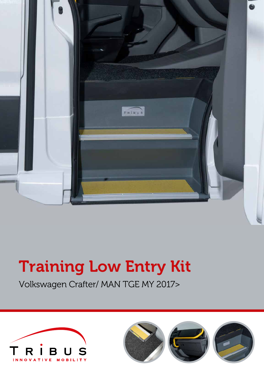

# Training Low Entry Kit

Volkswagen Crafter/ MAN TGE MY 2017>